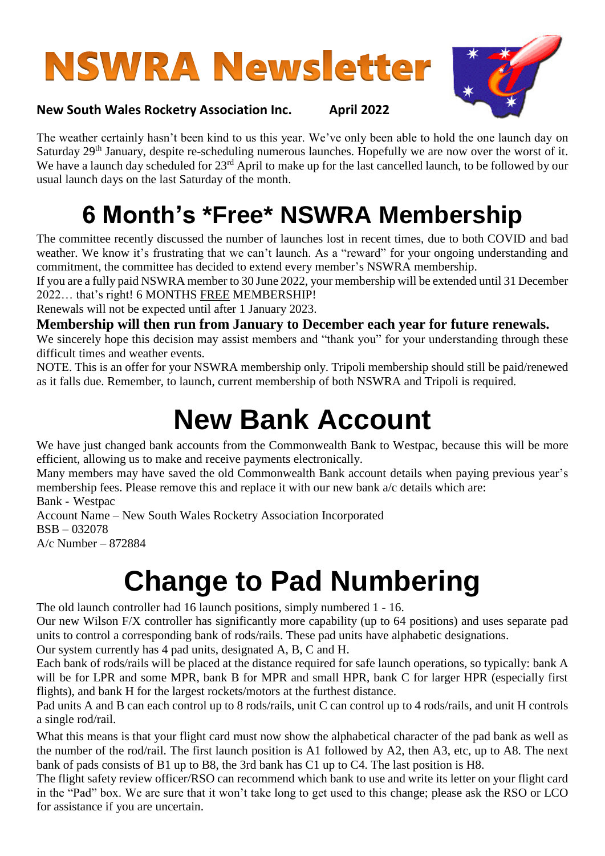# **NSWRA Newsletter**



#### **New South Wales Rocketry Association Inc. April 2022**

The weather certainly hasn't been kind to us this year. We've only been able to hold the one launch day on Saturday 29<sup>th</sup> January, despite re-scheduling numerous launches. Hopefully we are now over the worst of it. We have a launch day scheduled for 23<sup>rd</sup> April to make up for the last cancelled launch, to be followed by our usual launch days on the last Saturday of the month.

### **6 Month's \*Free\* NSWRA Membership**

The committee recently discussed the number of launches lost in recent times, due to both COVID and bad weather. We know it's frustrating that we can't launch. As a "reward" for your ongoing understanding and commitment, the committee has decided to extend every member's NSWRA membership.

If you are a fully paid NSWRA member to 30 June 2022, your membership will be extended until 31 December 2022… that's right! 6 MONTHS FREE MEMBERSHIP!

Renewals will not be expected until after 1 January 2023.

**Membership will then run from January to December each year for future renewals.** 

We sincerely hope this decision may assist members and "thank you" for your understanding through these difficult times and weather events.

NOTE. This is an offer for your NSWRA membership only. Tripoli membership should still be paid/renewed as it falls due. Remember, to launch, current membership of both NSWRA and Tripoli is required.

### **New Bank Account**

We have just changed bank accounts from the Commonwealth Bank to Westpac, because this will be more efficient, allowing us to make and receive payments electronically.

Many members may have saved the old Commonwealth Bank account details when paying previous year's membership fees. Please remove this and replace it with our new bank a/c details which are: Bank - Westpac

Account Name – New South Wales Rocketry Association Incorporated BSB – 032078 A/c Number – 872884

### **Change to Pad Numbering**

The old launch controller had 16 launch positions, simply numbered 1 - 16.

Our new Wilson F/X controller has significantly more capability (up to 64 positions) and uses separate pad units to control a corresponding bank of rods/rails. These pad units have alphabetic designations.

Our system currently has 4 pad units, designated A, B, C and H.

Each bank of rods/rails will be placed at the distance required for safe launch operations, so typically: bank A will be for LPR and some MPR, bank B for MPR and small HPR, bank C for larger HPR (especially first flights), and bank H for the largest rockets/motors at the furthest distance.

Pad units A and B can each control up to 8 rods/rails, unit C can control up to 4 rods/rails, and unit H controls a single rod/rail.

What this means is that your flight card must now show the alphabetical character of the pad bank as well as the number of the rod/rail. The first launch position is A1 followed by A2, then A3, etc, up to A8. The next bank of pads consists of B1 up to B8, the 3rd bank has C1 up to C4. The last position is H8.

The flight safety review officer/RSO can recommend which bank to use and write its letter on your flight card in the "Pad" box. We are sure that it won't take long to get used to this change; please ask the RSO or LCO for assistance if you are uncertain.